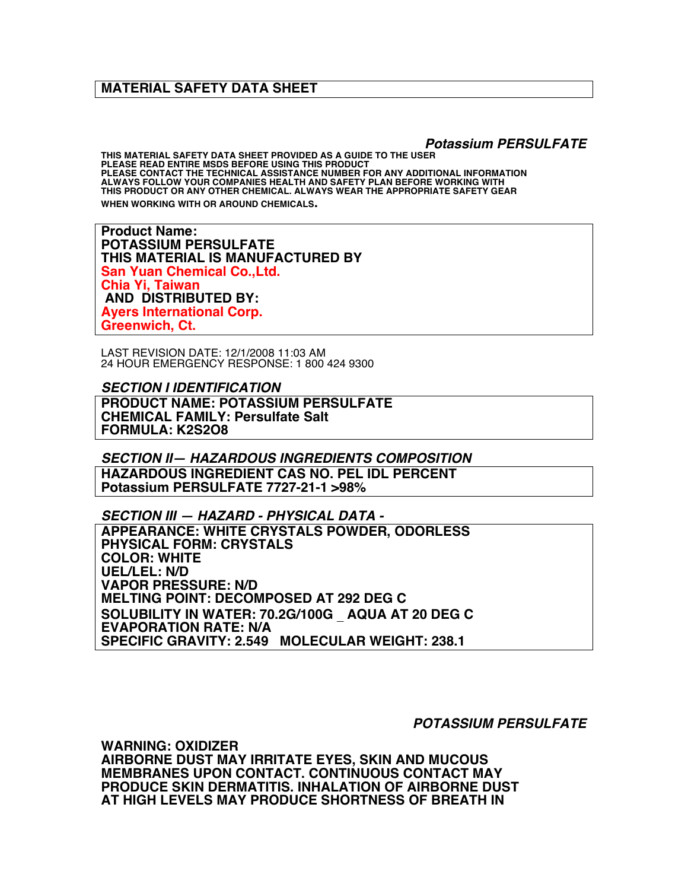## **MATERIAL SAFETY DATA SHEET**

*Potassium PERSULFATE*

**THIS MATERIAL SAFETY DATA SHEET PROVIDED AS A GUIDE TO THE USER PLEASE READ ENTIRE MSDS BEFORE USING THIS PRODUCT PLEASE CONTACT THE TECHNICAL ASSISTANCE NUMBER FOR ANY ADDITIONAL INFORMATION ALWAYS FOLLOW YOUR COMPANIES HEALTH AND SAFETY PLAN BEFORE WORKING WITH THIS PRODUCT OR ANY OTHER CHEMICAL. ALWAYS WEAR THE APPROPRIATE SAFETY GEAR WHEN WORKING WITH OR AROUND CHEMICALS.**

**Product Name: POTASSIUM PERSULFATE THIS MATERIAL IS MANUFACTURED BY San Yuan Chemical Co.,Ltd. Chia Yi, Taiwan AND DISTRIBUTED BY: Ayers International Corp. Greenwich, Ct.** 

LAST REVISION DATE: 12/1/2008 11:03 AM 24 HOUR EMERGENCY RESPONSE: 1 800 424 9300

*SECTION I IDENTIFICATION* **PRODUCT NAME: POTASSIUM PERSULFATE CHEMICAL FAMILY: Persulfate Salt FORMULA: K2S2O8**

*SECTION II— HAZARDOUS INGREDIENTS COMPOSITION* **HAZARDOUS INGREDIENT CAS NO. PEL IDL PERCENT Potassium PERSULFATE 7727-21-1 >98%**

*SECTION III — HAZARD - PHYSICAL DATA -* **APPEARANCE: WHITE CRYSTALS POWDER, ODORLESS PHYSICAL FORM: CRYSTALS COLOR: WHITE UEL/LEL: N/D VAPOR PRESSURE: N/D MELTING POINT: DECOMPOSED AT 292 DEG C SOLUBILITY IN WATER: 70.2G/100G** \_ **AQUA AT 20 DEG C EVAPORATION RATE: N/A SPECIFIC GRAVITY: 2.549 MOLECULAR WEIGHT: 238.1**

*POTASSIUM PERSULFATE*

**WARNING: OXIDIZER AIRBORNE DUST MAY IRRITATE EYES, SKIN AND MUCOUS MEMBRANES UPON CONTACT. CONTINUOUS CONTACT MAY PRODUCE SKIN DERMATITIS. INHALATION OF AIRBORNE DUST AT HIGH LEVELS MAY PRODUCE SHORTNESS OF BREATH IN**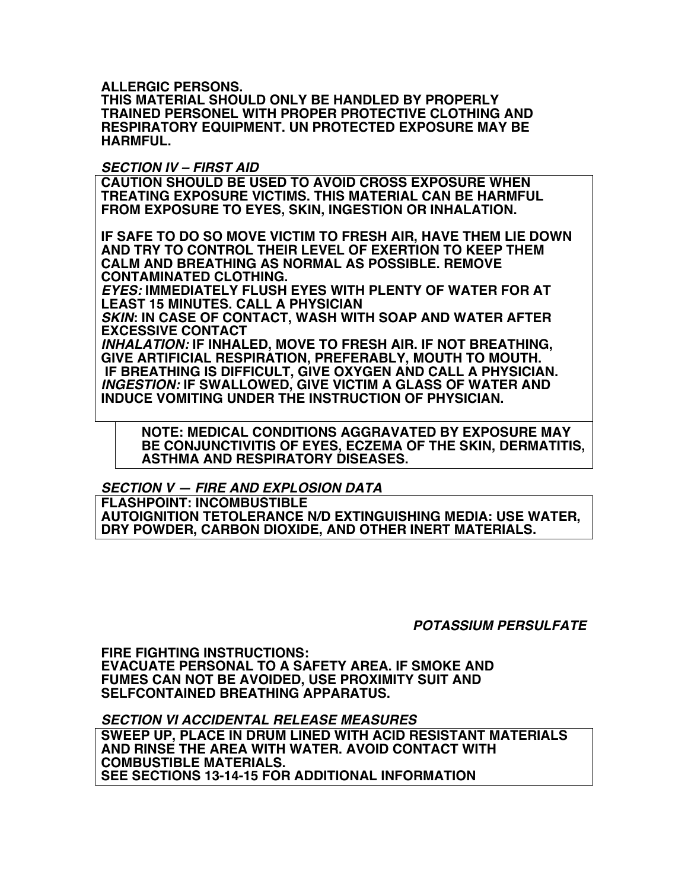**ALLERGIC PERSONS.**

**THIS MATERIAL SHOULD ONLY BE HANDLED BY PROPERLY TRAINED PERSONEL WITH PROPER PROTECTIVE CLOTHING AND RESPIRATORY EQUIPMENT. UN PROTECTED EXPOSURE MAY BE HARMFUL.**

## *SECTION IV – FIRST AID*

**CAUTION SHOULD BE USED TO AVOID CROSS EXPOSURE WHEN TREATING EXPOSURE VICTIMS. THIS MATERIAL CAN BE HARMFUL FROM EXPOSURE TO EYES, SKIN, INGESTION OR INHALATION.**

**IF SAFE TO DO SO MOVE VICTIM TO FRESH AIR, HAVE THEM LIE DOWN AND TRY TO CONTROL THEIR LEVEL OF EXERTION TO KEEP THEM CALM AND BREATHING AS NORMAL AS POSSIBLE. REMOVE CONTAMINATED CLOTHING.**

*EYES:* **IMMEDIATELY FLUSH EYES WITH PLENTY OF WATER FOR AT LEAST 15 MINUTES. CALL A PHYSICIAN**

*SKIN***: IN CASE OF CONTACT, WASH WITH SOAP AND WATER AFTER EXCESSIVE CONTACT**

*INHALATION:* **IF INHALED, MOVE TO FRESH AIR. IF NOT BREATHING, GIVE ARTIFICIAL RESPIRATION, PREFERABLY, MOUTH TO MOUTH. IF BREATHING IS DIFFICULT, GIVE OXYGEN AND CALL A PHYSICIAN.** *INGESTION:* **IF SWALLOWED, GIVE VICTIM A GLASS OF WATER AND INDUCE VOMITING UNDER THE INSTRUCTION OF PHYSICIAN.**

 **NOTE: MEDICAL CONDITIONS AGGRAVATED BY EXPOSURE MAY BE CONJUNCTIVITIS OF EYES, ECZEMA OF THE SKIN, DERMATITIS, ASTHMA AND RESPIRATORY DISEASES.**

*SECTION V — FIRE AND EXPLOSION DATA*

**FLASHPOINT: INCOMBUSTIBLE AUTOIGNITION TETOLERANCE N/D EXTINGUISHING MEDIA: USE WATER, DRY POWDER, CARBON DIOXIDE, AND OTHER INERT MATERIALS.**

*POTASSIUM PERSULFATE*

**FIRE FIGHTING INSTRUCTIONS: EVACUATE PERSONAL TO A SAFETY AREA. IF SMOKE AND FUMES CAN NOT BE AVOIDED, USE PROXIMITY SUIT AND SELFCONTAINED BREATHING APPARATUS.**

*SECTION VI ACCIDENTAL RELEASE MEASURES* **SWEEP UP, PLACE IN DRUM LINED WITH ACID RESISTANT MATERIALS AND RINSE THE AREA WITH WATER. AVOID CONTACT WITH COMBUSTIBLE MATERIALS. SEE SECTIONS 13-14-15 FOR ADDITIONAL INFORMATION**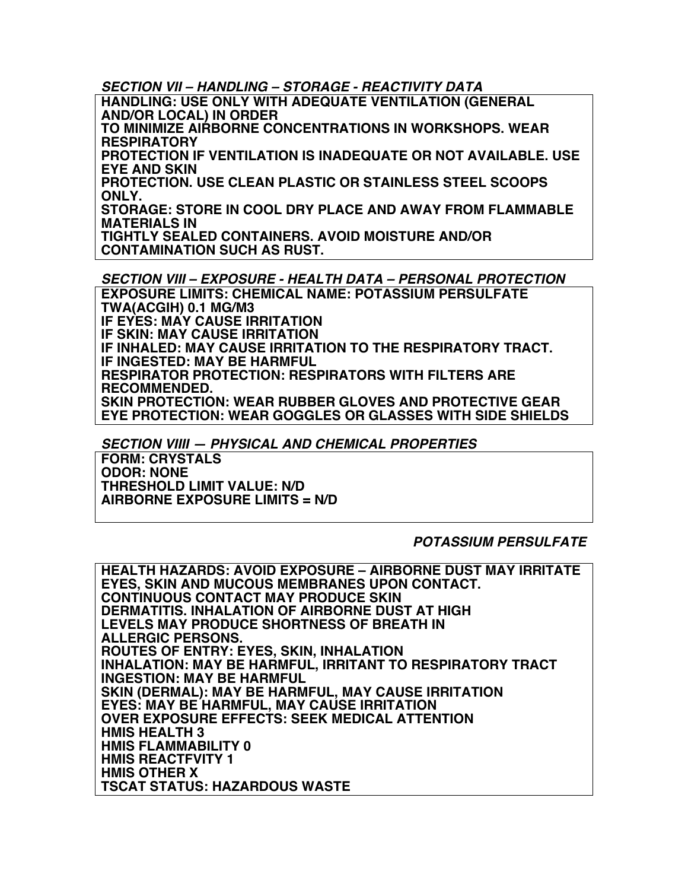*SECTION VII – HANDLING – STORAGE - REACTIVITY DATA*

**HANDLING: USE ONLY WITH ADEQUATE VENTILATION (GENERAL AND/OR LOCAL) IN ORDER**

**TO MINIMIZE AIRBORNE CONCENTRATIONS IN WORKSHOPS. WEAR RESPIRATORY**

**PROTECTION IF VENTILATION IS INADEQUATE OR NOT AVAILABLE. USE EYE AND SKIN**

**PROTECTION. USE CLEAN PLASTIC OR STAINLESS STEEL SCOOPS ONLY.**

**STORAGE: STORE IN COOL DRY PLACE AND AWAY FROM FLAMMABLE MATERIALS IN**

**TIGHTLY SEALED CONTAINERS. AVOID MOISTURE AND/OR CONTAMINATION SUCH AS RUST.**

*SECTION VIII – EXPOSURE - HEALTH DATA – PERSONAL PROTECTION* **EXPOSURE LIMITS: CHEMICAL NAME: POTASSIUM PERSULFATE TWA(ACGIH) 0.1 MG/M3 IF EYES: MAY CAUSE IRRITATION IF SKIN: MAY CAUSE IRRITATION IF INHALED: MAY CAUSE IRRITATION TO THE RESPIRATORY TRACT. IF INGESTED: MAY BE HARMFUL RESPIRATOR PROTECTION: RESPIRATORS WITH FILTERS ARE RECOMMENDED. SKIN PROTECTION: WEAR RUBBER GLOVES AND PROTECTIVE GEAR**

**EYE PROTECTION: WEAR GOGGLES OR GLASSES WITH SIDE SHIELDS**

*SECTION VIIII — PHYSICAL AND CHEMICAL PROPERTIES*

**FORM: CRYSTALS ODOR: NONE THRESHOLD LIMIT VALUE: N/D AIRBORNE EXPOSURE LIMITS = N/D**

## *POTASSIUM PERSULFATE*

**HEALTH HAZARDS: AVOID EXPOSURE – AIRBORNE DUST MAY IRRITATE EYES, SKIN AND MUCOUS MEMBRANES UPON CONTACT. CONTINUOUS CONTACT MAY PRODUCE SKIN DERMATITIS. INHALATION OF AIRBORNE DUST AT HIGH LEVELS MAY PRODUCE SHORTNESS OF BREATH IN ALLERGIC PERSONS. ROUTES OF ENTRY: EYES, SKIN, INHALATION INHALATION: MAY BE HARMFUL, IRRITANT TO RESPIRATORY TRACT INGESTION: MAY BE HARMFUL SKIN (DERMAL): MAY BE HARMFUL, MAY CAUSE IRRITATION EYES: MAY BE HARMFUL, MAY CAUSE IRRITATION OVER EXPOSURE EFFECTS: SEEK MEDICAL ATTENTION HMIS HEALTH 3 HMIS FLAMMABILITY 0 HMIS REACTFVITY 1 HMIS OTHER X TSCAT STATUS: HAZARDOUS WASTE**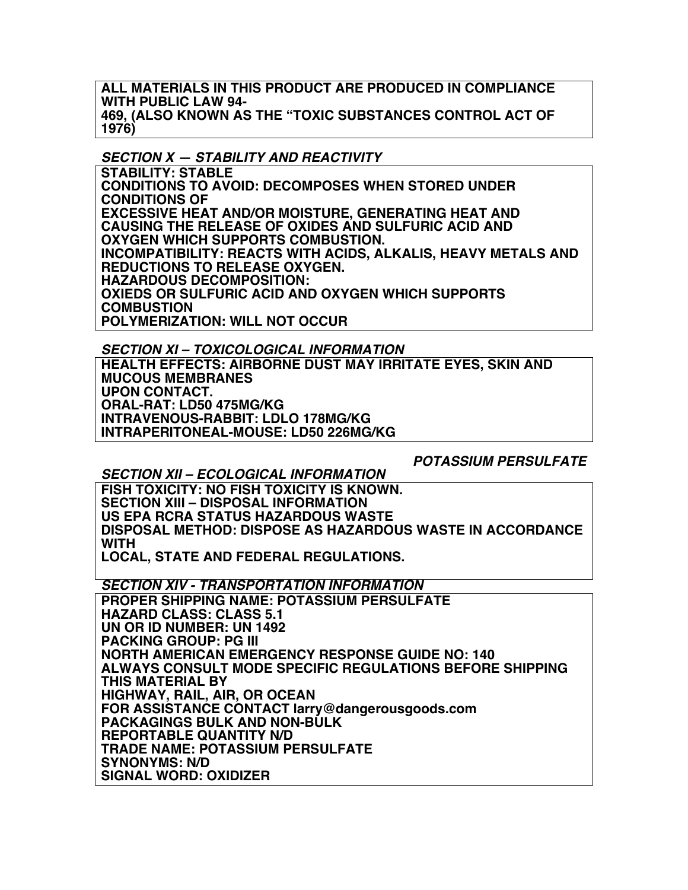**ALL MATERIALS IN THIS PRODUCT ARE PRODUCED IN COMPLIANCE WITH PUBLIC LAW 94- 469, (ALSO KNOWN AS THE "TOXIC SUBSTANCES CONTROL ACT OF 1976)**

*SECTION X — STABILITY AND REACTIVITY*

**STABILITY: STABLE CONDITIONS TO AVOID: DECOMPOSES WHEN STORED UNDER CONDITIONS OF EXCESSIVE HEAT AND/OR MOISTURE, GENERATING HEAT AND CAUSING THE RELEASE OF OXIDES AND SULFURIC ACID AND OXYGEN WHICH SUPPORTS COMBUSTION. INCOMPATIBILITY: REACTS WITH ACIDS, ALKALIS, HEAVY METALS AND REDUCTIONS TO RELEASE OXYGEN. HAZARDOUS DECOMPOSITION: OXIEDS OR SULFURIC ACID AND OXYGEN WHICH SUPPORTS COMBUSTION POLYMERIZATION: WILL NOT OCCUR**

*SECTION XI – TOXICOLOGICAL INFORMATION*

**HEALTH EFFECTS: AIRBORNE DUST MAY IRRITATE EYES, SKIN AND MUCOUS MEMBRANES UPON CONTACT. ORAL-RAT: LD50 475MG/KG INTRAVENOUS-RABBIT: LDLO 178MG/KG INTRAPERITONEAL-MOUSE: LD50 226MG/KG**

*POTASSIUM PERSULFATE*

*SECTION XII – ECOLOGICAL INFORMATION*

**FISH TOXICITY: NO FISH TOXICITY IS KNOWN. SECTION XIII – DISPOSAL INFORMATION US EPA RCRA STATUS HAZARDOUS WASTE DISPOSAL METHOD: DISPOSE AS HAZARDOUS WASTE IN ACCORDANCE WITH LOCAL, STATE AND FEDERAL REGULATIONS.**

*SECTION XIV - TRANSPORTATION INFORMATION*

**PROPER SHIPPING NAME: POTASSIUM PERSULFATE HAZARD CLASS: CLASS 5.1 UN OR ID NUMBER: UN 1492 PACKING GROUP: PG III NORTH AMERICAN EMERGENCY RESPONSE GUIDE NO: 140 ALWAYS CONSULT MODE SPECIFIC REGULATIONS BEFORE SHIPPING THIS MATERIAL BY HIGHWAY, RAIL, AIR, OR OCEAN FOR ASSISTANCE CONTACT larry@dangerousgoods.com PACKAGINGS BULK AND NON-BULK REPORTABLE QUANTITY N/D TRADE NAME: POTASSIUM PERSULFATE SYNONYMS: N/D SIGNAL WORD: OXIDIZER**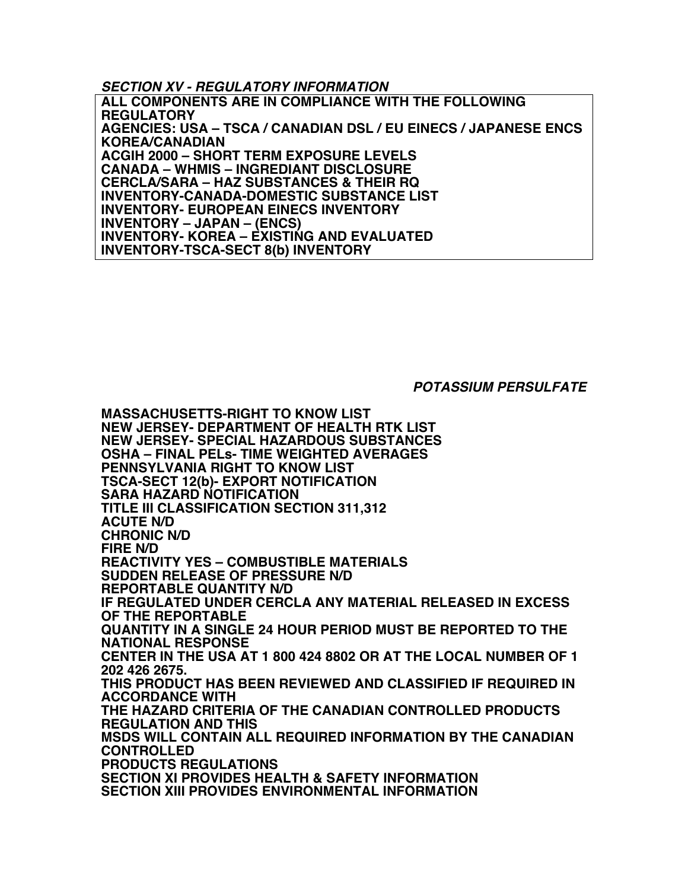*SECTION XV - REGULATORY INFORMATION*

**ALL COMPONENTS ARE IN COMPLIANCE WITH THE FOLLOWING REGULATORY AGENCIES: USA – TSCA / CANADIAN DSL / EU EINECS / JAPANESE ENCS KOREA/CANADIAN ACGIH 2000 – SHORT TERM EXPOSURE LEVELS CANADA – WHMIS – INGREDIANT DISCLOSURE CERCLA/SARA – HAZ SUBSTANCES & THEIR RQ INVENTORY-CANADA-DOMESTIC SUBSTANCE LIST INVENTORY- EUROPEAN EINECS INVENTORY INVENTORY – JAPAN – (ENCS) INVENTORY- KOREA – EXISTING AND EVALUATED INVENTORY-TSCA-SECT 8(b) INVENTORY**

*POTASSIUM PERSULFATE*

**MASSACHUSETTS-RIGHT TO KNOW LIST NEW JERSEY- DEPARTMENT OF HEALTH RTK LIST NEW JERSEY- SPECIAL HAZARDOUS SUBSTANCES OSHA – FINAL PELs- TIME WEIGHTED AVERAGES PENNSYLVANIA RIGHT TO KNOW LIST TSCA-SECT 12(b)- EXPORT NOTIFICATION SARA HAZARD NOTIFICATION TITLE III CLASSIFICATION SECTION 311,312 ACUTE N/D CHRONIC N/D FIRE N/D REACTIVITY YES – COMBUSTIBLE MATERIALS SUDDEN RELEASE OF PRESSURE N/D REPORTABLE QUANTITY N/D IF REGULATED UNDER CERCLA ANY MATERIAL RELEASED IN EXCESS OF THE REPORTABLE QUANTITY IN A SINGLE 24 HOUR PERIOD MUST BE REPORTED TO THE NATIONAL RESPONSE CENTER IN THE USA AT 1 800 424 8802 OR AT THE LOCAL NUMBER OF 1 202 426 2675. THIS PRODUCT HAS BEEN REVIEWED AND CLASSIFIED IF REQUIRED IN ACCORDANCE WITH THE HAZARD CRITERIA OF THE CANADIAN CONTROLLED PRODUCTS REGULATION AND THIS MSDS WILL CONTAIN ALL REQUIRED INFORMATION BY THE CANADIAN CONTROLLED PRODUCTS REGULATIONS SECTION XI PROVIDES HEALTH & SAFETY INFORMATION SECTION XIII PROVIDES ENVIRONMENTAL INFORMATION**